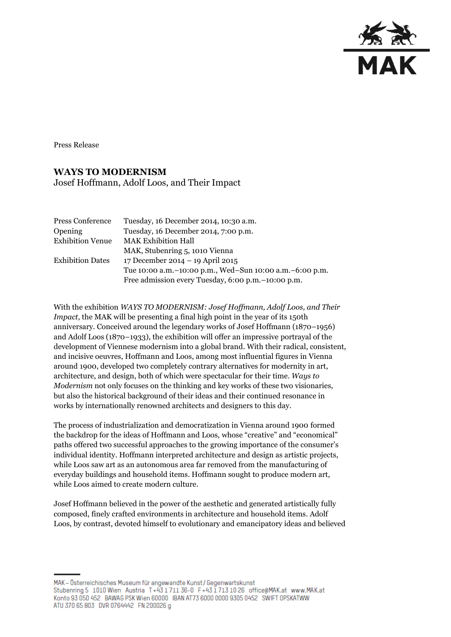

Press Release

# **WAYS TO MODERNISM**

Josef Hoffmann, Adolf Loos, and Their Impact

| Press Conference        | Tuesday, 16 December 2014, 10:30 a.m.                       |
|-------------------------|-------------------------------------------------------------|
| Opening                 | Tuesday, 16 December 2014, 7:00 p.m.                        |
| <b>Exhibition Venue</b> | <b>MAK Exhibition Hall</b>                                  |
|                         | MAK, Stubenring 5, 1010 Vienna                              |
| <b>Exhibition Dates</b> | 17 December 2014 - 19 April 2015                            |
|                         | Tue 10:00 a.m. - 10:00 p.m., Wed-Sun 10:00 a.m. - 6:00 p.m. |
|                         | Free admission every Tuesday, 6:00 p.m. -10:00 p.m.         |

With the exhibition *WAYS TO MODERNISM: Josef Hoffmann, Adolf Loos, and Their Impact*, the MAK will be presenting a final high point in the year of its 150th anniversary*.* Conceived around the legendary works of Josef Hoffmann (1870–1956) and Adolf Loos (1870–1933), the exhibition will offer an impressive portrayal of the development of Viennese modernism into a global brand. With their radical, consistent, and incisive oeuvres, Hoffmann and Loos, among most influential figures in Vienna around 1900, developed two completely contrary alternatives for modernity in art, architecture, and design, both of which were spectacular for their time. *Ways to Modernism* not only focuses on the thinking and key works of these two visionaries, but also the historical background of their ideas and their continued resonance in works by internationally renowned architects and designers to this day.

The process of industrialization and democratization in Vienna around 1900 formed the backdrop for the ideas of Hoffmann and Loos, whose "creative" and "economical" paths offered two successful approaches to the growing importance of the consumer's individual identity. Hoffmann interpreted architecture and design as artistic projects, while Loos saw art as an autonomous area far removed from the manufacturing of everyday buildings and household items. Hoffmann sought to produce modern art, while Loos aimed to create modern culture.

Josef Hoffmann believed in the power of the aesthetic and generated artistically fully composed, finely crafted environments in architecture and household items. Adolf Loos, by contrast, devoted himself to evolutionary and emancipatory ideas and believed

MAK - Österreichisches Museum für angewandte Kunst/Gegenwartskunst Stubenring 5 1010 Wien Austria T+43 1711 36-0 F+43 1713 10 26 office@MAK.at www.MAK.at Konto 93 050 452 BAWAG PSK Wien 60000 IBAN AT73 6000 0000 9305 0452 SWIFT OPSKATWW ATU 370 65 803 DVR 0764442 FN 200026 g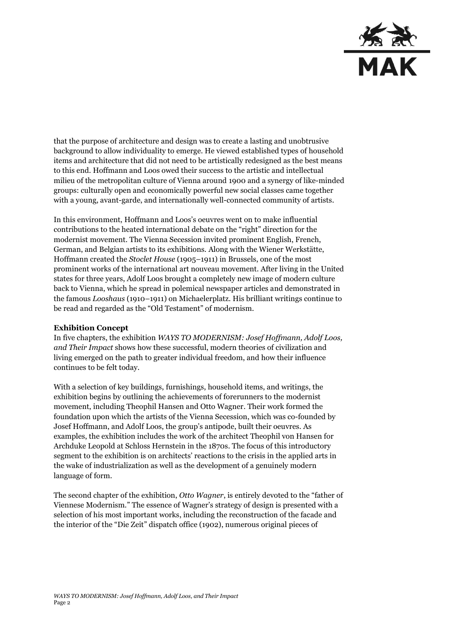

that the purpose of architecture and design was to create a lasting and unobtrusive background to allow individuality to emerge. He viewed established types of household items and architecture that did not need to be artistically redesigned as the best means to this end. Hoffmann and Loos owed their success to the artistic and intellectual milieu of the metropolitan culture of Vienna around 1900 and a synergy of like-minded groups: culturally open and economically powerful new social classes came together with a young, avant-garde, and internationally well-connected community of artists.

In this environment, Hoffmann and Loos's oeuvres went on to make influential contributions to the heated international debate on the "right" direction for the modernist movement. The Vienna Secession invited prominent English, French, German, and Belgian artists to its exhibitions. Along with the Wiener Werkstätte, Hoffmann created the *Stoclet House* (1905–1911) in Brussels, one of the most prominent works of the international art nouveau movement. After living in the United states for three years, Adolf Loos brought a completely new image of modern culture back to Vienna, which he spread in polemical newspaper articles and demonstrated in the famous *Looshaus* (1910–1911) on Michaelerplatz. His brilliant writings continue to be read and regarded as the "Old Testament" of modernism.

## **Exhibition Concept**

In five chapters, the exhibition *WAYS TO MODERNISM: Josef Hoffmann, Adolf Loos, and Their Impact* shows how these successful, modern theories of civilization and living emerged on the path to greater individual freedom, and how their influence continues to be felt today.

With a selection of key buildings, furnishings, household items, and writings, the exhibition begins by outlining the achievements of forerunners to the modernist movement, including Theophil Hansen and Otto Wagner. Their work formed the foundation upon which the artists of the Vienna Secession, which was co-founded by Josef Hoffmann, and Adolf Loos, the group's antipode, built their oeuvres. As examples, the exhibition includes the work of the architect Theophil von Hansen for Archduke Leopold at Schloss Hernstein in the 1870s. The focus of this introductory segment to the exhibition is on architects' reactions to the crisis in the applied arts in the wake of industrialization as well as the development of a genuinely modern language of form.

The second chapter of the exhibition, *Otto Wagner*, is entirely devoted to the "father of Viennese Modernism." The essence of Wagner's strategy of design is presented with a selection of his most important works, including the reconstruction of the facade and the interior of the "Die Zeit" dispatch office (1902), numerous original pieces of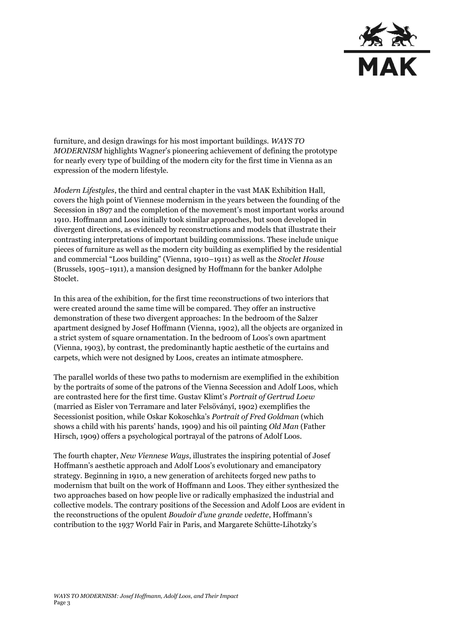

furniture, and design drawings for his most important buildings. *WAYS TO MODERNISM* highlights Wagner's pioneering achievement of defining the prototype for nearly every type of building of the modern city for the first time in Vienna as an expression of the modern lifestyle.

*Modern Lifestyles*, the third and central chapter in the vast MAK Exhibition Hall, covers the high point of Viennese modernism in the years between the founding of the Secession in 1897 and the completion of the movement's most important works around 1910. Hoffmann and Loos initially took similar approaches, but soon developed in divergent directions, as evidenced by reconstructions and models that illustrate their contrasting interpretations of important building commissions. These include unique pieces of furniture as well as the modern city building as exemplified by the residential and commercial "Loos building" (Vienna, 1910–1911) as well as the *Stoclet House* (Brussels, 1905–1911), a mansion designed by Hoffmann for the banker Adolphe Stoclet.

In this area of the exhibition, for the first time reconstructions of two interiors that were created around the same time will be compared. They offer an instructive demonstration of these two divergent approaches: In the bedroom of the Salzer apartment designed by Josef Hoffmann (Vienna, 1902), all the objects are organized in a strict system of square ornamentation. In the bedroom of Loos's own apartment (Vienna, 1903), by contrast, the predominantly haptic aesthetic of the curtains and carpets, which were not designed by Loos, creates an intimate atmosphere.

The parallel worlds of these two paths to modernism are exemplified in the exhibition by the portraits of some of the patrons of the Vienna Secession and Adolf Loos, which are contrasted here for the first time. Gustav Klimt's *Portrait of Gertrud Loew* (married as Eisler von Terramare and later Felsöványí, 1902) exemplifies the Secessionist position, while Oskar Kokoschka's *Portrait of Fred Goldman* (which shows a child with his parents' hands, 1909) and his oil painting *Old Man* (Father Hirsch, 1909) offers a psychological portrayal of the patrons of Adolf Loos.

The fourth chapter, *New Viennese Ways*, illustrates the inspiring potential of Josef Hoffmann's aesthetic approach and Adolf Loos's evolutionary and emancipatory strategy. Beginning in 1910, a new generation of architects forged new paths to modernism that built on the work of Hoffmann and Loos. They either synthesized the two approaches based on how people live or radically emphasized the industrial and collective models. The contrary positions of the Secession and Adolf Loos are evident in the reconstructions of the opulent *Boudoir d'une grande vedette*, Hoffmann's contribution to the 1937 World Fair in Paris, and Margarete Schütte-Lihotzky's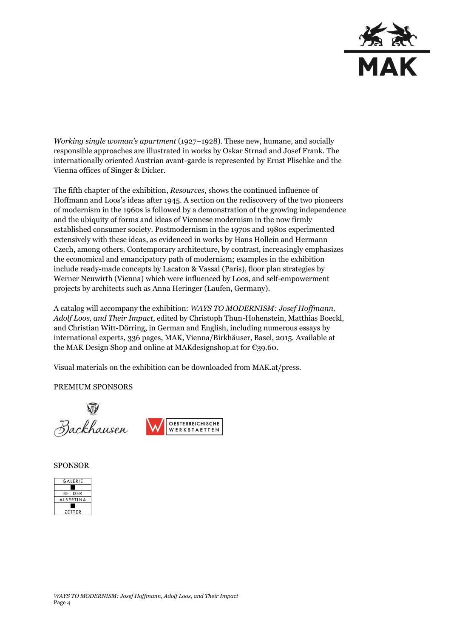

*Working single woman's apartment* (1927–1928). These new, humane, and socially responsible approaches are illustrated in works by Oskar Strnad and Josef Frank. The internationally oriented Austrian avant-garde is represented by Ernst Plischke and the Vienna offices of Singer & Dicker.

The fifth chapter of the exhibition, *Resources*, shows the continued influence of Hoffmann and Loos's ideas after 1945. A section on the rediscovery of the two pioneers of modernism in the 1960s is followed by a demonstration of the growing independence and the ubiquity of forms and ideas of Viennese modernism in the now firmly established consumer society. Postmodernism in the 1970s and 1980s experimented extensively with these ideas, as evidenced in works by Hans Hollein and Hermann Czech, among others. Contemporary architecture, by contrast, increasingly emphasizes the economical and emancipatory path of modernism; examples in the exhibition include ready-made concepts by Lacaton & Vassal (Paris), floor plan strategies by Werner Neuwirth (Vienna) which were influenced by Loos, and self-empowerment projects by architects such as Anna Heringer (Laufen, Germany).

A catalog will accompany the exhibition: *WAYS TO MODERNISM: Josef Hoffmann, Adolf Loos, and Their Impact*, edited by Christoph Thun-Hohenstein, Matthias Boeckl, and Christian Witt-Dörring, in German and English, including numerous essays by international experts, 336 pages, MAK, Vienna/Birkhäuser, Basel, 2015. Available at the MAK Design Shop and online at MAKdesignshop.at for €39.60.

Visual materials on the exhibition can be downloaded from MAK.at/press.

## PREMIUM SPONSORS

Backhausen



SPONSOR

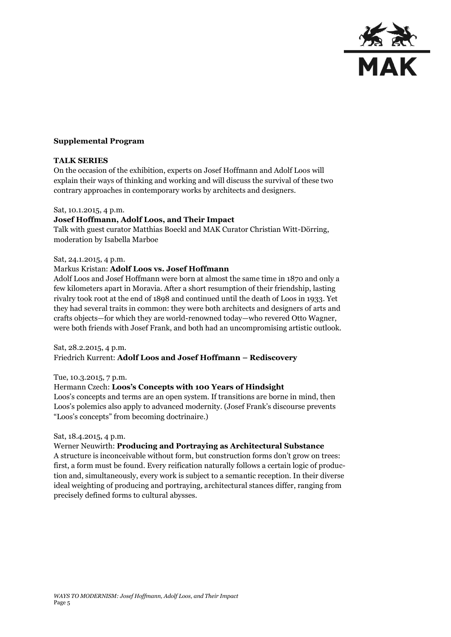

## **Supplemental Program**

## **TALK SERIES**

On the occasion of the exhibition, experts on Josef Hoffmann and Adolf Loos will explain their ways of thinking and working and will discuss the survival of these two contrary approaches in contemporary works by architects and designers.

## Sat, 10.1.2015, 4 p.m.

## **Josef Hoffmann, Adolf Loos, and Their Impact**

Talk with guest curator Matthias Boeckl and MAK Curator Christian Witt-Dörring, moderation by Isabella Marboe

## Sat, 24.1.2015, 4 p.m.

## Markus Kristan: **Adolf Loos vs. Josef Hoffmann**

Adolf Loos and Josef Hoffmann were born at almost the same time in 1870 and only a few kilometers apart in Moravia. After a short resumption of their friendship, lasting rivalry took root at the end of 1898 and continued until the death of Loos in 1933. Yet they had several traits in common: they were both architects and designers of arts and crafts objects—for which they are world-renowned today—who revered Otto Wagner, were both friends with Josef Frank, and both had an uncompromising artistic outlook.

Sat, 28.2.2015, 4 p.m. Friedrich Kurrent: **Adolf Loos and Josef Hoffmann – Rediscovery**

## Tue, 10.3.2015, 7 p.m.

## Hermann Czech: **Loos's Concepts with 100 Years of Hindsight**

Loos's concepts and terms are an open system. If transitions are borne in mind, then Loos's polemics also apply to advanced modernity. (Josef Frank's discourse prevents "Loos's concepts" from becoming doctrinaire.)

## Sat, 18.4.2015, 4 p.m.

Werner Neuwirth: **Producing and Portraying as Architectural Substance**

A structure is inconceivable without form, but construction forms don't grow on trees: first, a form must be found. Every reification naturally follows a certain logic of production and, simultaneously, every work is subject to a semantic reception. In their diverse ideal weighting of producing and portraying, architectural stances differ, ranging from precisely defined forms to cultural abysses.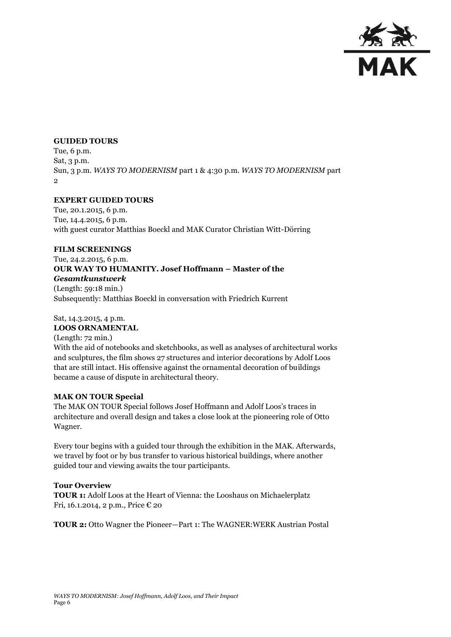

## **GUIDED TOURS**

Tue, 6 p.m. Sat, 3 p.m. Sun, 3 p.m. *WAYS TO MODERNISM* part 1 & 4:30 p.m. *WAYS TO MODERNISM* part  $\Omega$ 

## **EXPERT GUIDED TOURS**

Tue, 20.1.2015, 6 p.m. Tue, 14.4.2015, 6 p.m. with guest curator Matthias Boeckl and MAK Curator Christian Witt-Dörring

## **FILM SCREENINGS**

# Tue, 24.2.2015, 6 p.m. **OUR WAY TO HUMANITY. Josef Hoffmann – Master of the**  *Gesamtkunstwerk* (Length: 59:18 min.)

Subsequently: Matthias Boeckl in conversation with Friedrich Kurrent

## Sat, 14.3.2015, 4 p.m. **LOOS ORNAMENTAL**

(Length: 72 min.) With the aid of notebooks and sketchbooks, as well as analyses of architectural works and sculptures, the film shows 27 structures and interior decorations by Adolf Loos that are still intact. His offensive against the ornamental decoration of buildings became a cause of dispute in architectural theory.

## **MAK ON TOUR Special**

The MAK ON TOUR Special follows Josef Hoffmann and Adolf Loos's traces in architecture and overall design and takes a close look at the pioneering role of Otto Wagner.

Every tour begins with a guided tour through the exhibition in the MAK. Afterwards, we travel by foot or by bus transfer to various historical buildings, where another guided tour and viewing awaits the tour participants.

## **Tour Overview**

**TOUR 1:** Adolf Loos at the Heart of Vienna: the Looshaus on Michaelerplatz Fri, 16.1.2014, 2 p.m., Price € 20

**TOUR 2:** Otto Wagner the Pioneer—Part 1: The WAGNER:WERK Austrian Postal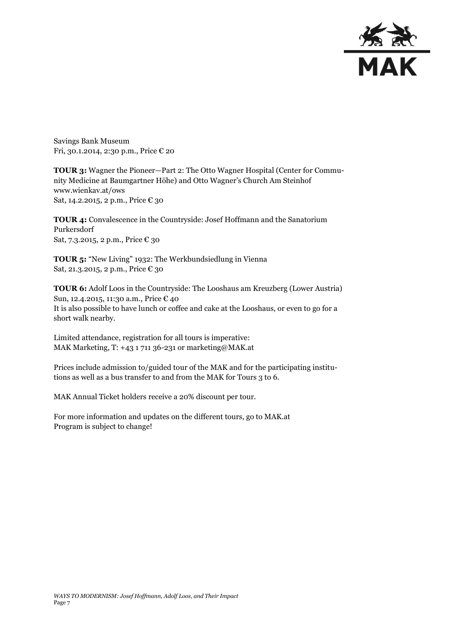

Savings Bank Museum Fri, 30.1.2014, 2:30 p.m., Price  $\epsilon$  20

**TOUR 3:** Wagner the Pioneer—Part 2: The Otto Wagner Hospital (Center for Community Medicine at Baumgartner Höhe) and Otto Wagner's Church Am Steinhof www.wienkav.at/ows Sat, 14.2.2015, 2 p.m., Price  $\epsilon$  30

**TOUR 4:** Convalescence in the Countryside: Josef Hoffmann and the Sanatorium Purkersdorf Sat, 7.3.2015, 2 p.m., Price € 30

**TOUR 5:** "New Living" 1932: The Werkbundsiedlung in Vienna Sat, 21.3.2015, 2 p.m., Price € 30

**TOUR 6:** Adolf Loos in the Countryside: The Looshaus am Kreuzberg (Lower Austria) Sun, 12.4.2015, 11:30 a.m., Price € 40 It is also possible to have lunch or coffee and cake at the Looshaus, or even to go for a short walk nearby.

Limited attendance, registration for all tours is imperative: MAK Marketing, T: +43 1 711 36-231 or marketing@MAK.at

Prices include admission to/guided tour of the MAK and for the participating institutions as well as a bus transfer to and from the MAK for Tours 3 to 6.

MAK Annual Ticket holders receive a 20% discount per tour.

For more information and updates on the different tours, go to MAK.at Program is subject to change!